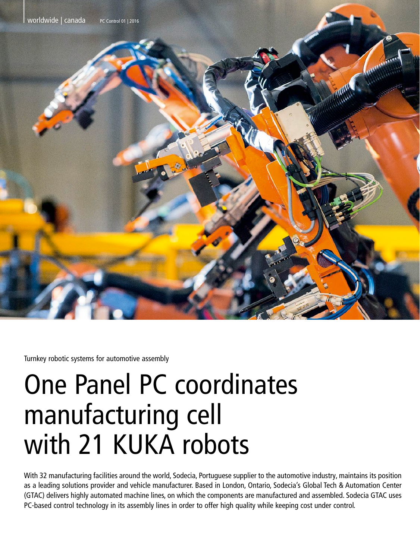

Turnkey robotic systems for automotive assembly

# One Panel PC coordinates manufacturing cell with 21 KUKA robots

With 32 manufacturing facilities around the world, Sodecia, Portuguese supplier to the automotive industry, maintains its position as a leading solutions provider and vehicle manufacturer. Based in London, Ontario, Sodecia's Global Tech & Automation Center (GTAC) delivers highly automated machine lines, on which the components are manufactured and assembled. Sodecia GTAC uses PC-based control technology in its assembly lines in order to offer high quality while keeping cost under control.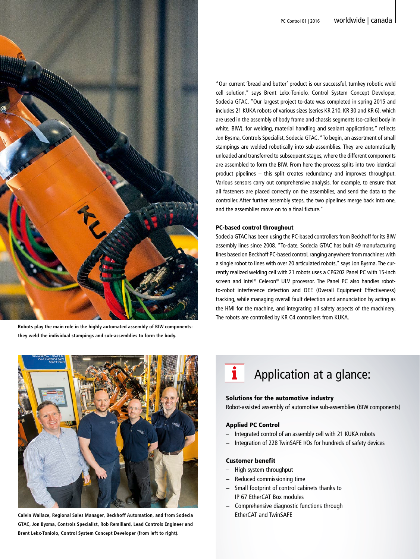

**Robots play the main role in the highly automated assembly of BIW components: they weld the individual stampings and sub-assemblies to form the body.**

"Our current 'bread and butter' product is our successful, turnkey robotic weld cell solution," says Brent Lekx-Toniolo, Control System Concept Developer, Sodecia GTAC. "Our largest project to-date was completed in spring 2015 and includes 21 KUKA robots of various sizes (series KR 210, KR 30 and KR 6), which are used in the assembly of body frame and chassis segments (so-called body in white, BIW), for welding, material handling and sealant applications," reflects Jon Bysma, Controls Specialist, Sodecia GTAC. "To begin, an assortment of small stampings are welded robotically into sub-assemblies. They are automatically unloaded and transferred to subsequent stages, where the different components are assembled to form the BIW. From here the process splits into two identical product pipelines – this split creates redundancy and improves throughput. Various sensors carry out comprehensive analysis, for example, to ensure that all fasteners are placed correctly on the assemblies, and send the data to the controller. After further assembly steps, the two pipelines merge back into one, and the assemblies move on to a final fixture."

#### PC-based control throughout

Sodecia GTAC has been using the PC-based controllers from Beckhoff for its BIW assembly lines since 2008. "To-date, Sodecia GTAC has built 49 manufacturing lines based on Beckhoff PC-based control, ranging anywhere from machines with a single robot to lines with over 20 articulated robots," says Jon Bysma. The currently realized welding cell with 21 robots uses a CP6202 Panel PC with 15-inch screen and Intel® Celeron® ULV processor. The Panel PC also handles robotto-robot interference detection and OEE (Overall Equipment Effectiveness) tracking, while managing overall fault detection and annunciation by acting as the HMI for the machine, and integrating all safety aspects of the machinery. The robots are controlled by KR C4 controllers from KUKA.



**Calvin Wallace, Regional Sales Manager, Beckhoff Automation, and from Sodecia GTAC, Jon Bysma, Controls Specialist, Rob Remillard, Lead Controls Engineer and Brent Lekx-Toniolo, Control System Concept Developer (from left to right).**

# i Application at a glance:

# Solutions for the automotive industry

Robot-assisted assembly of automotive sub-assemblies (BIW components)

# Applied PC Control

- Integrated control of an assembly cell with 21 KUKA robots
- − Integration of 228 TwinSAFE I/Os for hundreds of safety devices

### Customer benefit

- High system throughput
- − Reduced commissioning time
- − Small footprint of control cabinets thanks to IP 67 EtherCAT Box modules
- − Comprehensive diagnostic functions through EtherCAT and TwinSAFE